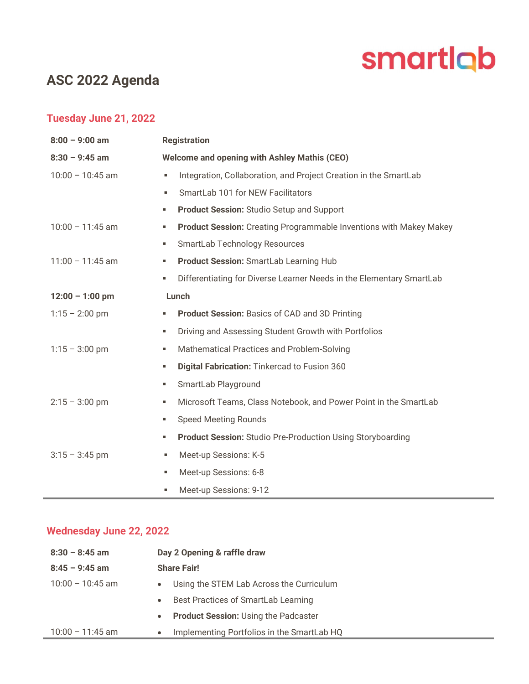# smartlab

# ASC 2022 Agenda

## Tuesday June 21, 2022

| $8:00 - 9:00$ am   | <b>Registration</b>                                 |                                                                           |  |
|--------------------|-----------------------------------------------------|---------------------------------------------------------------------------|--|
| $8:30 - 9:45$ am   | <b>Welcome and opening with Ashley Mathis (CEO)</b> |                                                                           |  |
| $10:00 - 10:45$ am | ٠                                                   | Integration, Collaboration, and Project Creation in the SmartLab          |  |
|                    | ٠                                                   | SmartLab 101 for NEW Facilitators                                         |  |
|                    | ш                                                   | <b>Product Session: Studio Setup and Support</b>                          |  |
| $10:00 - 11:45$ am | ٠                                                   | <b>Product Session:</b> Creating Programmable Inventions with Makey Makey |  |
|                    | ш                                                   | SmartLab Technology Resources                                             |  |
| $11:00 - 11:45$ am | ш                                                   | Product Session: SmartLab Learning Hub                                    |  |
|                    | ٠                                                   | Differentiating for Diverse Learner Needs in the Elementary SmartLab      |  |
| $12:00 - 1:00$ pm  | Lunch                                               |                                                                           |  |
| $1:15 - 2:00$ pm   | ٠                                                   | <b>Product Session: Basics of CAD and 3D Printing</b>                     |  |
|                    | ш                                                   | Driving and Assessing Student Growth with Portfolios                      |  |
| $1:15 - 3:00$ pm   | ш                                                   | Mathematical Practices and Problem-Solving                                |  |
|                    | ٠                                                   | Digital Fabrication: Tinkercad to Fusion 360                              |  |
|                    | ٠                                                   | SmartLab Playground                                                       |  |
| $2:15 - 3:00$ pm   | ٠                                                   | Microsoft Teams, Class Notebook, and Power Point in the SmartLab          |  |
|                    | ٠                                                   | <b>Speed Meeting Rounds</b>                                               |  |
|                    | ш                                                   | <b>Product Session: Studio Pre-Production Using Storyboarding</b>         |  |
| $3:15 - 3:45$ pm   | ٠                                                   | Meet-up Sessions: K-5                                                     |  |
|                    | ٠                                                   | Meet-up Sessions: 6-8                                                     |  |
|                    | ٠                                                   | Meet-up Sessions: 9-12                                                    |  |

## Wednesday June 22, 2022

| $8:30 - 8:45$ am   | Day 2 Opening & raffle draw                              |
|--------------------|----------------------------------------------------------|
| $8:45 - 9:45$ am   | <b>Share Fair!</b>                                       |
| $10:00 - 10:45$ am | • Using the STEM Lab Across the Curriculum               |
|                    | Best Practices of SmartLab Learning<br>$\bullet$         |
|                    | <b>Product Session: Using the Padcaster</b><br>$\bullet$ |
| $10:00 - 11:45$ am | Implementing Portfolios in the SmartLab HQ<br>$\bullet$  |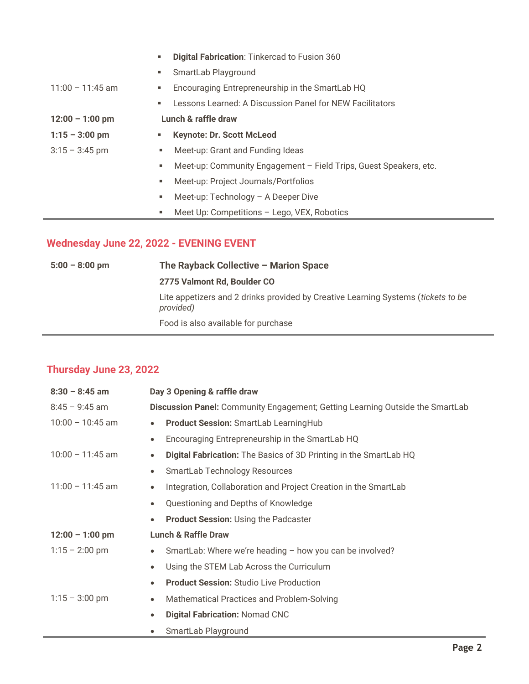|                    | ш | Digital Fabrication: Tinkercad to Fusion 360                      |
|--------------------|---|-------------------------------------------------------------------|
|                    | ш | SmartLab Playground                                               |
| $11:00 - 11:45$ am | ш | Encouraging Entrepreneurship in the SmartLab HQ                   |
|                    | ш | Lessons Learned: A Discussion Panel for NEW Facilitators          |
| $12:00 - 1:00$ pm  |   | Lunch & raffle draw                                               |
| $1:15 - 3:00$ pm   |   | <b>Keynote: Dr. Scott McLeod</b>                                  |
| $3:15 - 3:45$ pm   | ٠ | Meet-up: Grant and Funding Ideas                                  |
|                    | ٠ | Meet-up: Community Engagement - Field Trips, Guest Speakers, etc. |
|                    | ٠ | Meet-up: Project Journals/Portfolios                              |
|                    | ٠ | Meet-up: $Technology - A Deeper Dive$                             |
|                    | ٠ | Meet Up: Competitions - Lego, VEX, Robotics                       |
|                    |   |                                                                   |

#### Wednesday June 22, 2022 - EVENING EVENT

5:00 – 8:00 pm The Rayback Collective – Marion Space 2775 Valmont Rd, Boulder CO Lite appetizers and 2 drinks provided by Creative Learning Systems (tickets to be provided) Food is also available for purchase

#### Thursday June 23, 2022

| $8:30 - 8:45$ am   | Day 3 Opening & raffle draw                                                    |  |  |
|--------------------|--------------------------------------------------------------------------------|--|--|
| $8:45 - 9:45$ am   | Discussion Panel: Community Engagement; Getting Learning Outside the SmartLab  |  |  |
| $10:00 - 10:45$ am | <b>Product Session: SmartLab LearningHub</b><br>$\bullet$                      |  |  |
|                    | Encouraging Entrepreneurship in the SmartLab HQ<br>$\bullet$                   |  |  |
| $10:00 - 11:45$ am | Digital Fabrication: The Basics of 3D Printing in the SmartLab HQ<br>$\bullet$ |  |  |
|                    | SmartLab Technology Resources<br>$\bullet$                                     |  |  |
| $11:00 - 11:45$ am | Integration, Collaboration and Project Creation in the SmartLab<br>$\bullet$   |  |  |
|                    | Questioning and Depths of Knowledge<br>$\bullet$                               |  |  |
|                    | <b>Product Session: Using the Padcaster</b><br>$\bullet$                       |  |  |
| $12:00 - 1:00$ pm  | <b>Lunch &amp; Raffle Draw</b>                                                 |  |  |
| $1:15 - 2:00$ pm   | SmartLab: Where we're heading - how you can be involved?<br>$\bullet$          |  |  |
|                    | Using the STEM Lab Across the Curriculum<br>$\bullet$                          |  |  |
|                    | <b>Product Session: Studio Live Production</b><br>$\bullet$                    |  |  |
| $1:15 - 3:00$ pm   | Mathematical Practices and Problem-Solving<br>$\bullet$                        |  |  |
|                    | <b>Digital Fabrication: Nomad CNC</b><br>$\bullet$                             |  |  |
|                    | SmartLab Playground<br>٠                                                       |  |  |